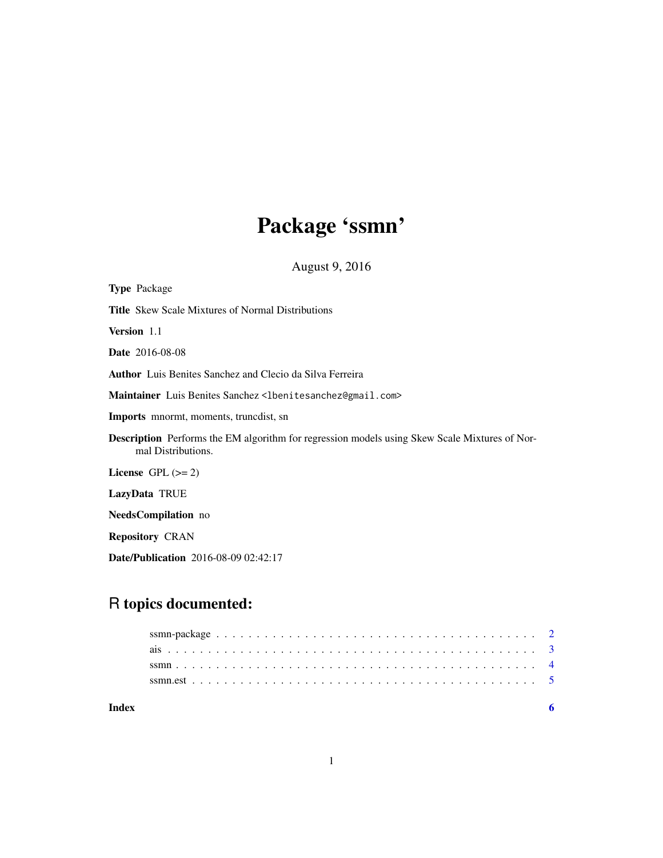## Package 'ssmn'

August 9, 2016

| <b>Type</b> Package                                                                                                        |
|----------------------------------------------------------------------------------------------------------------------------|
| <b>Title</b> Skew Scale Mixtures of Normal Distributions                                                                   |
| <b>Version</b> 1.1                                                                                                         |
| <b>Date</b> 2016-08-08                                                                                                     |
| <b>Author</b> Luis Benites Sanchez and Clecio da Silva Ferreira                                                            |
| Maintainer Luis Benites Sanchez <lbenitesanchez@gmail.com></lbenitesanchez@gmail.com>                                      |
| <b>Imports</b> mnormt, moments, truncdist, sn                                                                              |
| <b>Description</b> Performs the EM algorithm for regression models using Skew Scale Mixtures of Nor-<br>mal Distributions. |
| License $GPL \, (= 2)$                                                                                                     |
| LazyData TRUE                                                                                                              |
| NeedsCompilation no                                                                                                        |
| <b>Repository CRAN</b>                                                                                                     |
|                                                                                                                            |

Date/Publication 2016-08-09 02:42:17

### R topics documented:

| Index |  |
|-------|--|
|       |  |
|       |  |
|       |  |
|       |  |
|       |  |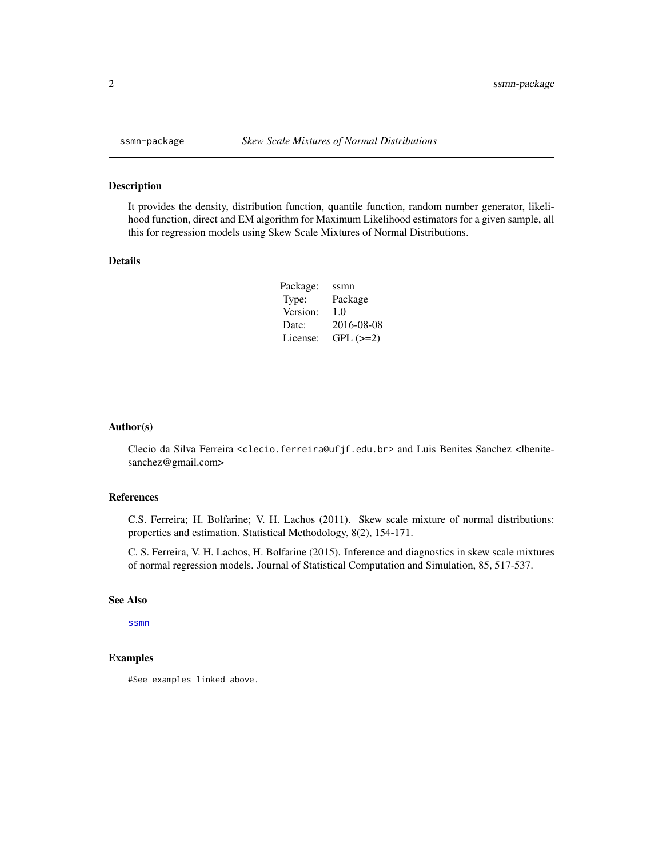#### Description

It provides the density, distribution function, quantile function, random number generator, likelihood function, direct and EM algorithm for Maximum Likelihood estimators for a given sample, all this for regression models using Skew Scale Mixtures of Normal Distributions.

#### Details

| Package: | ssmn       |
|----------|------------|
| Type:    | Package    |
| Version: | 1.0        |
| Date:    | 2016-08-08 |
| License: | $GPL (=2)$ |

#### Author(s)

Clecio da Silva Ferreira <clecio.ferreira@ufjf.edu.br> and Luis Benites Sanchez <lbenitesanchez@gmail.com>

#### References

C.S. Ferreira; H. Bolfarine; V. H. Lachos (2011). Skew scale mixture of normal distributions: properties and estimation. Statistical Methodology, 8(2), 154-171.

C. S. Ferreira, V. H. Lachos, H. Bolfarine (2015). Inference and diagnostics in skew scale mixtures of normal regression models. Journal of Statistical Computation and Simulation, 85, 517-537.

#### See Also

[ssmn](#page-3-1)

#### Examples

#See examples linked above.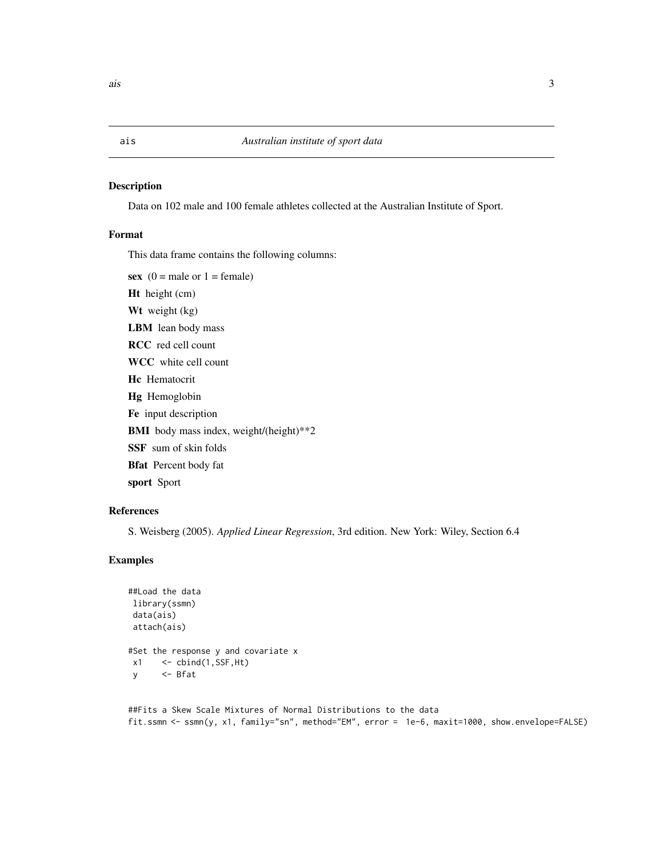#### <span id="page-2-0"></span>Description

Data on 102 male and 100 female athletes collected at the Australian Institute of Sport.

#### Format

This data frame contains the following columns:

sex  $(0 = \text{male or } 1 = \text{female})$ Ht height (cm) Wt weight (kg) LBM lean body mass RCC red cell count WCC white cell count Hc Hematocrit Hg Hemoglobin Fe input description BMI body mass index, weight/(height)\*\*2 SSF sum of skin folds Bfat Percent body fat sport Sport

#### References

S. Weisberg (2005). *Applied Linear Regression*, 3rd edition. New York: Wiley, Section 6.4

### Examples

```
##Load the data
library(ssmn)
data(ais)
 attach(ais)
#Set the response y and covariate x
 x1 \leftarrow \text{cbind}(1, \text{SSF}, \text{Ht})y <- Bfat
```

```
##Fits a Skew Scale Mixtures of Normal Distributions to the data
fit.ssmn <- ssmn(y, x1, family="sn", method="EM", error = 1e-6, maxit=1000, show.envelope=FALSE)
```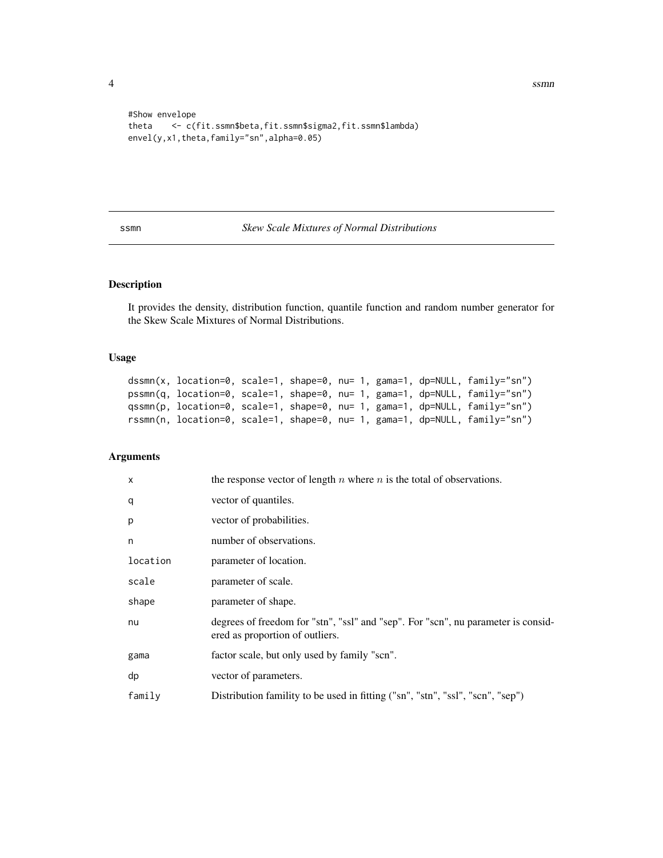4 ssmn

```
#Show envelope
theta <- c(fit.ssmn$beta,fit.ssmn$sigma2,fit.ssmn$lambda)
envel(y,x1,theta,family="sn",alpha=0.05)
```
<span id="page-3-1"></span>ssmn *Skew Scale Mixtures of Normal Distributions*

#### Description

It provides the density, distribution function, quantile function and random number generator for the Skew Scale Mixtures of Normal Distributions.

#### Usage

```
dssmn(x, location=0, scale=1, shape=0, nu= 1, gama=1, dp=NULL, family="sn")
pssmn(q, location=0, scale=1, shape=0, nu= 1, gama=1, dp=NULL, family="sn")
qssmn(p, location=0, scale=1, shape=0, nu= 1, gama=1, dp=NULL, family="sn")
rssmn(n, location=0, scale=1, shape=0, nu= 1, gama=1, dp=NULL, family="sn")
```
#### Arguments

| $\mathsf{x}$ | the response vector of length $n$ where $n$ is the total of observations.                                            |
|--------------|----------------------------------------------------------------------------------------------------------------------|
| q            | vector of quantiles.                                                                                                 |
| p            | vector of probabilities.                                                                                             |
| n            | number of observations.                                                                                              |
| location     | parameter of location.                                                                                               |
| scale        | parameter of scale.                                                                                                  |
| shape        | parameter of shape.                                                                                                  |
| nu           | degrees of freedom for "stn", "ssl" and "sep". For "scn", nu parameter is consid-<br>ered as proportion of outliers. |
| gama         | factor scale, but only used by family "scn".                                                                         |
| dp           | vector of parameters.                                                                                                |
| family       | Distribution famility to be used in fitting ("sn", "stn", "ssl", "scn", "sep")                                       |

<span id="page-3-0"></span>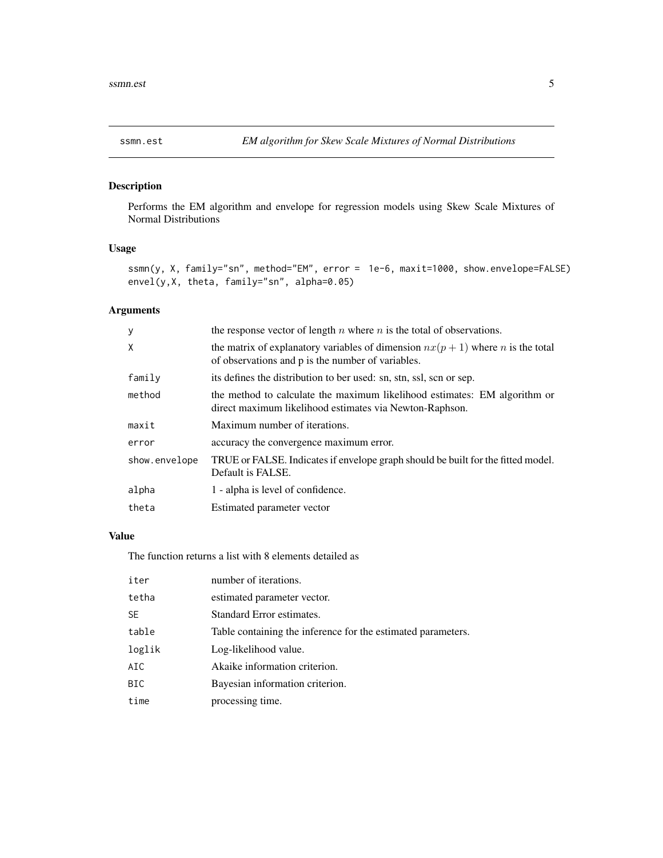#### <span id="page-4-0"></span>Description

Performs the EM algorithm and envelope for regression models using Skew Scale Mixtures of Normal Distributions

#### Usage

ssmn(y, X, family="sn", method="EM", error = 1e-6, maxit=1000, show.envelope=FALSE) envel(y,X, theta, family="sn", alpha=0.05)

### Arguments

| y             | the response vector of length $n$ where $n$ is the total of observations.                                                                     |
|---------------|-----------------------------------------------------------------------------------------------------------------------------------------------|
| X             | the matrix of explanatory variables of dimension $nx(p + 1)$ where <i>n</i> is the total<br>of observations and p is the number of variables. |
| family        | its defines the distribution to ber used: sn, stn, ssl, scn or sep.                                                                           |
| method        | the method to calculate the maximum likelihood estimates: EM algorithm or<br>direct maximum likelihood estimates via Newton-Raphson.          |
| maxit         | Maximum number of iterations.                                                                                                                 |
| error         | accuracy the convergence maximum error.                                                                                                       |
| show.envelope | TRUE or FALSE. Indicates if envelope graph should be built for the fitted model.<br>Default is FALSE.                                         |
| alpha         | 1 - alpha is level of confidence.                                                                                                             |
| theta         | Estimated parameter vector                                                                                                                    |

#### Value

The function returns a list with 8 elements detailed as

| iter       | number of iterations.                                        |
|------------|--------------------------------------------------------------|
| tetha      | estimated parameter vector.                                  |
| <b>SE</b>  | Standard Error estimates.                                    |
| table      | Table containing the inference for the estimated parameters. |
| loglik     | Log-likelihood value.                                        |
| AIC        | Akaike information criterion.                                |
| <b>BIC</b> | Bayesian information criterion.                              |
| time       | processing time.                                             |